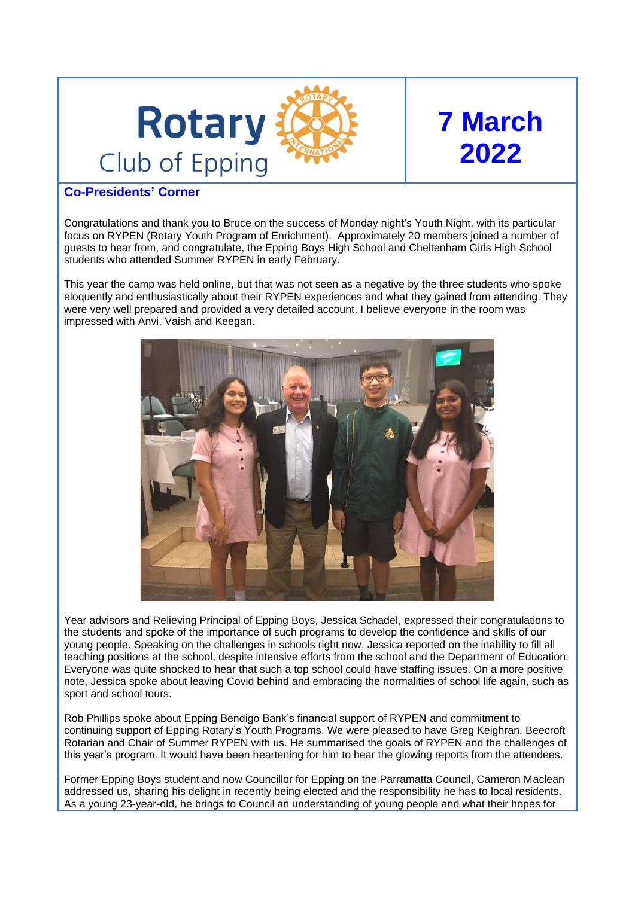

# **7 March 2022**

# **Co-Presidents' Corner**

Congratulations and thank you to Bruce on the success of Monday night's Youth Night, with its particular focus on RYPEN (Rotary Youth Program of Enrichment). Approximately 20 members joined a number of guests to hear from, and congratulate, the Epping Boys High School and Cheltenham Girls High School students who attended Summer RYPEN in early February.

This year the camp was held online, but that was not seen as a negative by the three students who spoke eloquently and enthusiastically about their RYPEN experiences and what they gained from attending. They were very well prepared and provided a very detailed account. I believe everyone in the room was impressed with Anvi, Vaish and Keegan.



Year advisors and Relieving Principal of Epping Boys, Jessica Schadel, expressed their congratulations to the students and spoke of the importance of such programs to develop the confidence and skills of our young people. Speaking on the challenges in schools right now, Jessica reported on the inability to fill all teaching positions at the school, despite intensive efforts from the school and the Department of Education. Everyone was quite shocked to hear that such a top school could have staffing issues. On a more positive note, Jessica spoke about leaving Covid behind and embracing the normalities of school life again, such as sport and school tours.

Rob Phillips spoke about Epping Bendigo Bank's financial support of RYPEN and commitment to continuing support of Epping Rotary's Youth Programs. We were pleased to have Greg Keighran, Beecroft Rotarian and Chair of Summer RYPEN with us. He summarised the goals of RYPEN and the challenges of this year's program. It would have been heartening for him to hear the glowing reports from the attendees.

Former Epping Boys student and now Councillor for Epping on the Parramatta Council, Cameron Maclean addressed us, sharing his delight in recently being elected and the responsibility he has to local residents. As a young 23-year-old, he brings to Council an understanding of young people and what their hopes for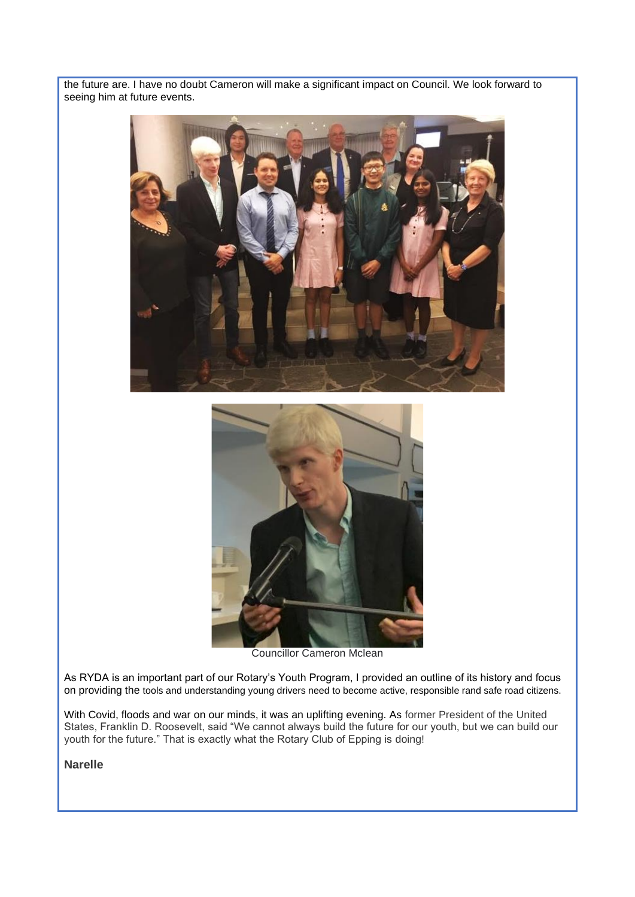the future are. I have no doubt Cameron will make a significant impact on Council. We look forward to seeing him at future events.





Councillor Cameron Mclean

As RYDA is an important part of our Rotary's Youth Program, I provided an outline of its history and focus on providing the tools and understanding young drivers need to become active, responsible rand safe road citizens.

With Covid, floods and war on our minds, it was an uplifting evening. As former President of the United States, Franklin D. Roosevelt, said "We cannot always build the future for our youth, but we can build our youth for the future." That is exactly what the Rotary Club of Epping is doing!

**Narelle**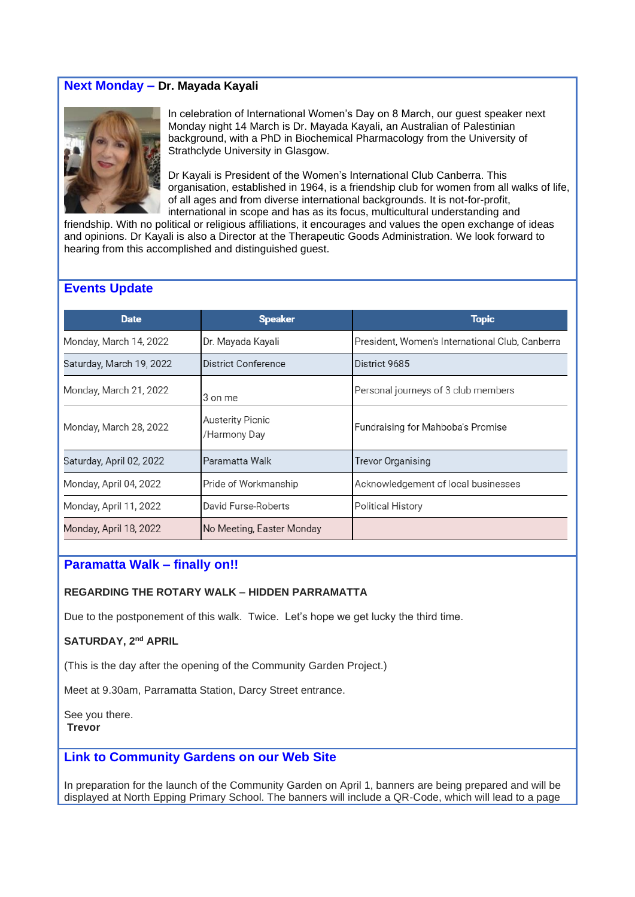# **Next Monday – Dr. Mayada Kayali**



In celebration of International Women's Day on 8 March, our guest speaker next Monday night 14 March is Dr. Mayada Kayali, an Australian of Palestinian background, with a PhD in Biochemical Pharmacology from the University of Strathclyde University in Glasgow.

Dr Kayali is President of the Women's International Club Canberra. This organisation, established in 1964, is a friendship club for women from all walks of life, of all ages and from diverse international backgrounds. It is not-for-profit, international in scope and has as its focus, multicultural understanding and

friendship. With no political or religious affiliations, it encourages and values the open exchange of ideas and opinions. Dr Kayali is also a Director at the Therapeutic Goods Administration. We look forward to hearing from this accomplished and distinguished guest.

## **Events Update**

| <b>Date</b>              | <b>Speaker</b>                          | Topic                                           |
|--------------------------|-----------------------------------------|-------------------------------------------------|
| Monday, March 14, 2022   | Dr. Mayada Kayali                       | President, Women's International Club, Canberra |
| Saturday, March 19, 2022 | District Conference                     | District 9685                                   |
| Monday, March 21, 2022   | 3 on me                                 | Personal journeys of 3 club members             |
| Monday, March 28, 2022   | <b>Austerity Picnic</b><br>/Harmony Day | Fundraising for Mahboba's Promise               |
| Saturday, April 02, 2022 | Paramatta Walk                          | Trevor Organising                               |
| Monday, April 04, 2022   | Pride of Workmanship                    | Acknowledgement of local businesses             |
| Monday, April 11, 2022   | David Furse-Roberts                     | <b>Political History</b>                        |
| Monday, April 18, 2022   | No Meeting, Easter Monday               |                                                 |

# **Paramatta Walk – finally on!!**

#### **REGARDING THE ROTARY WALK – HIDDEN PARRAMATTA**

Due to the postponement of this walk. Twice. Let's hope we get lucky the third time.

#### **SATURDAY, 2nd APRIL**

(This is the day after the opening of the Community Garden Project.)

Meet at 9.30am, Parramatta Station, Darcy Street entrance.

See you there. **Trevor**

# **Link to Community Gardens on our Web Site**

In preparation for the launch of the Community Garden on April 1, banners are being prepared and will be displayed at North Epping Primary School. The banners will include a QR-Code, which will lead to a page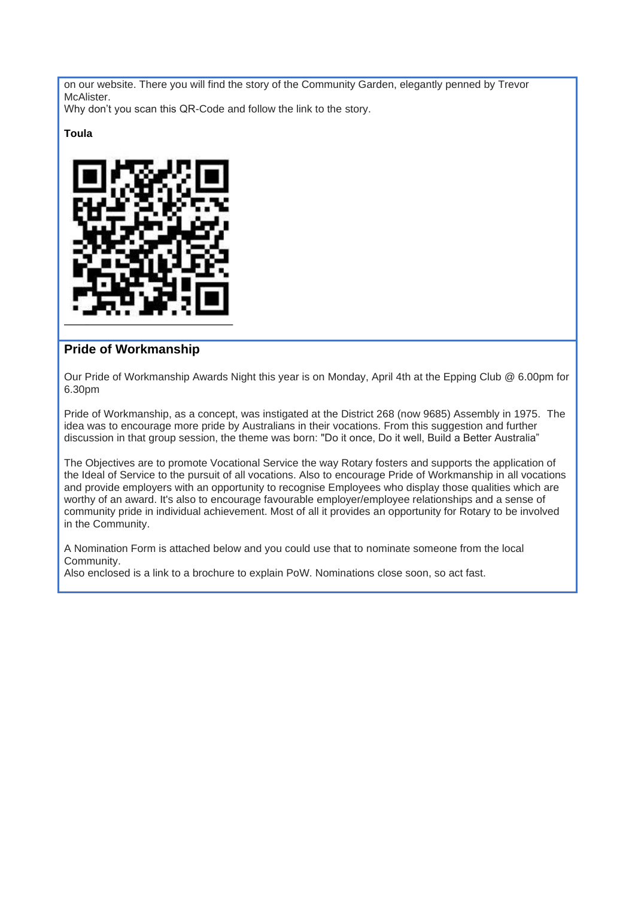on our website. There you will find the story of the Community Garden, elegantly penned by Trevor McAlister.

Why don't you scan this QR-Code and follow the link to the story.

# **Toula**



# **Pride of Workmanship**

Our Pride of Workmanship Awards Night this year is on Monday, April 4th at the Epping Club @ 6.00pm for 6.30pm

Pride of Workmanship, as a concept, was instigated at the District 268 (now 9685) Assembly in 1975. The idea was to encourage more pride by Australians in their vocations. From this suggestion and further discussion in that group session, the theme was born: "Do it once, Do it well, Build a Better Australia"

The Objectives are to promote Vocational Service the way Rotary fosters and supports the application of the Ideal of Service to the pursuit of all vocations. Also to encourage Pride of Workmanship in all vocations and provide employers with an opportunity to recognise Employees who display those qualities which are worthy of an award. It's also to encourage favourable employer/employee relationships and a sense of community pride in individual achievement. Most of all it provides an opportunity for Rotary to be involved in the Community.

A Nomination Form is attached below and you could use that to nominate someone from the local Community.

Also enclosed is a link to a brochure to explain PoW. Nominations close soon, so act fast.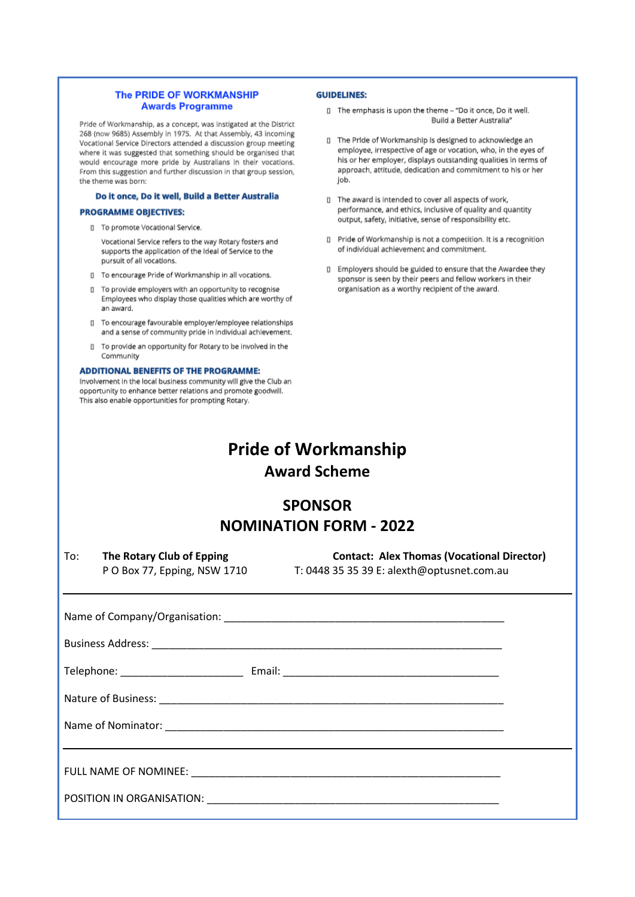#### The PRIDE OF WORKMANSHIP **Awards Programme**

Pride of Workmanship, as a concept, was instigated at the District 268 (now 9685) Assembly in 1975. At that Assembly, 43 incoming Vocational Service Directors attended a discussion group meeting where it was suggested that something should be organised that would encourage more pride by Australians in their vocations. From this suggestion and further discussion in that group session, the theme was born:

#### Do it once, Do it well, Build a Better Australia

#### **PROGRAMME OBJECTIVES:**

Il To promote Vocational Service.

Vocational Service refers to the way Rotary fosters and supports the application of the Ideal of Service to the pursuit of all vocations.

[] To encourage Pride of Workmanship in all vocations.

- □ To provide employers with an opportunity to recognise Employees who display those qualities which are worthy of an award.
- Il To encourage favourable employer/employee relationships and a sense of community pride in individual achievement.
- To provide an opportunity for Rotary to be involved in the  $\Box$ Community

#### **ADDITIONAL BENEFITS OF THE PROGRAMME:**

Involvement in the local business community will give the Club an opportunity to enhance better relations and promote goodwill. This also enable opportunities for prompting Rotary.

#### **GUIDELINES:**

- □ The emphasis is upon the theme "Do it once, Do it well. Build a Better Australia'
- □ The Pride of Workmanship is designed to acknowledge an employee, irrespective of age or vocation, who, in the eyes of his or her employer, displays outstanding qualities in terms of approach, attitude, dedication and commitment to his or her job.
- I The award is intended to cover all aspects of work, performance, and ethics, inclusive of quality and quantity output, safety, initiative, sense of responsibility etc.
- Ⅱ Pride of Workmanship is not a competition. It is a recognition of individual achievement and commitment.
- I Employers should be guided to ensure that the Awardee they sponsor is seen by their peers and fellow workers in their organisation as a worthy recipient of the award.

# **Pride of Workmanship Award Scheme**

# **SPONSOR NOMINATION FORM - 2022**

To: **The Rotary Club of Epping Contact: Alex Thomas (Vocational Director)** P O Box 77, Epping, NSW 1710 T: 0448 35 35 39 E: alexth@optusnet.com.au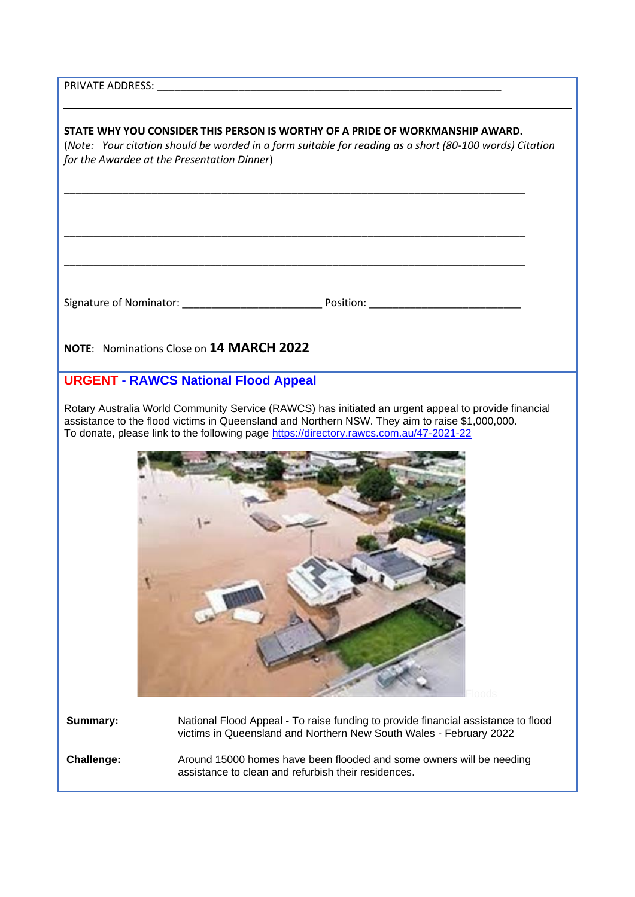PRIVATE ADDRESS:

**STATE WHY YOU CONSIDER THIS PERSON IS WORTHY OF A PRIDE OF WORKMANSHIP AWARD.**  (*Note: Your citation should be worded in a form suitable for reading as a short (80-100 words) Citation for the Awardee at the Presentation Dinner*) \_\_\_\_\_\_\_\_\_\_\_\_\_\_\_\_\_\_\_\_\_\_\_\_\_\_\_\_\_\_\_\_\_\_\_\_\_\_\_\_\_\_\_\_\_\_\_\_\_\_\_\_\_\_\_\_\_\_\_\_\_\_\_\_\_\_\_\_\_\_\_\_\_\_\_\_\_\_\_ \_\_\_\_\_\_\_\_\_\_\_\_\_\_\_\_\_\_\_\_\_\_\_\_\_\_\_\_\_\_\_\_\_\_\_\_\_\_\_\_\_\_\_\_\_\_\_\_\_\_\_\_\_\_\_\_\_\_\_\_\_\_\_\_\_\_\_\_\_\_\_\_\_\_\_\_\_\_\_ \_\_\_\_\_\_\_\_\_\_\_\_\_\_\_\_\_\_\_\_\_\_\_\_\_\_\_\_\_\_\_\_\_\_\_\_\_\_\_\_\_\_\_\_\_\_\_\_\_\_\_\_\_\_\_\_\_\_\_\_\_\_\_\_\_\_\_\_\_\_\_\_\_\_\_\_\_\_\_ Signature of Nominator: \_\_\_\_\_\_\_\_\_\_\_\_\_\_\_\_\_\_\_\_\_\_\_\_ Position: \_\_\_\_\_\_\_\_\_\_\_\_\_\_\_\_\_\_\_\_\_\_\_\_\_\_ **NOTE**: Nominations Close on **14 MARCH 2022 URGENT - RAWCS National Flood Appeal** Rotary Australia World Community Service (RAWCS) has initiated an urgent appeal to provide financial assistance to the flood victims in Queensland and Northern NSW. They aim to raise \$1,000,000. To donate, please link to the following page<https://directory.rawcs.com.au/47-2021-22> Floods **Summary:** National Flood Appeal - To raise funding to provide financial assistance to flood victims in Queensland and Northern New South Wales - February 2022 **Challenge:** Around 15000 homes have been flooded and some owners will be needing assistance to clean and refurbish their residences.